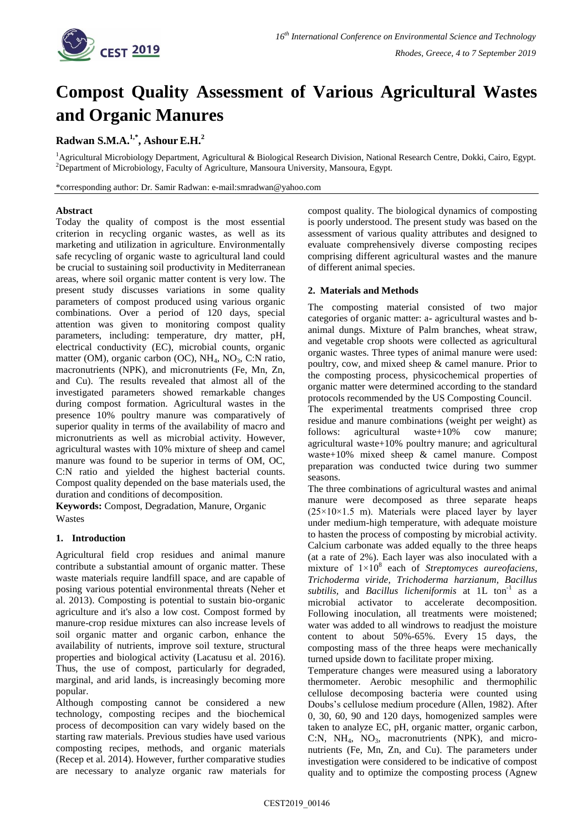

# **Compost Quality Assessment of Various Agricultural Wastes and Organic Manures**

# **Radwan S.M.A. 1,\* , Ashour E.H.<sup>2</sup>**

<sup>1</sup>Agricultural Microbiology Department, Agricultural & Biological Research Division, National Research Centre, Dokki, Cairo, Egypt. <sup>2</sup>Department of Microbiology, Faculty of Agriculture, Mansoura University, Mansoura, Egypt.

\*corresponding author: Dr. Samir Radwan: e-mail:smradwan@yahoo.com

## **Abstract**

Today the quality of compost is the most essential criterion in recycling organic wastes, as well as its marketing and utilization in agriculture. Environmentally safe recycling of organic waste to agricultural land could be crucial to sustaining soil productivity in Mediterranean areas, where soil organic matter content is very low. The present study discusses variations in some quality parameters of compost produced using various organic combinations. Over a period of 120 days, special attention was given to monitoring compost quality parameters, including: temperature, dry matter, pH, electrical conductivity (EC), microbial counts, organic matter (OM), organic carbon (OC),  $NH_4$ ,  $NO_3$ , C:N ratio, macronutrients (NPK), and micronutrients (Fe, Mn, Zn, and Cu). The results revealed that almost all of the investigated parameters showed remarkable changes during compost formation. Agricultural wastes in the presence 10% poultry manure was comparatively of superior quality in terms of the availability of macro and micronutrients as well as microbial activity. However, agricultural wastes with 10% mixture of sheep and camel manure was found to be superior in terms of OM, OC, C:N ratio and yielded the highest bacterial counts. Compost quality depended on the base materials used, the duration and conditions of decomposition.

**Keywords:** Compost, Degradation, Manure, Organic Wastes

## **1. Introduction**

Agricultural field crop residues and animal manure contribute a substantial amount of organic matter. These waste materials require landfill space, and are capable of posing various potential environmental threats (Neher et al. 2013). Composting is potential to sustain bio-organic agriculture and it's also a low cost. Compost formed by manure-crop residue mixtures can also increase levels of soil organic matter and organic carbon, enhance the availability of nutrients, improve soil texture, structural properties and biological activity (Lacatusu et al. 2016). Thus, the use of compost, particularly for degraded, marginal, and arid lands, is increasingly becoming more popular.

Although composting cannot be considered a new technology, composting recipes and the biochemical process of decomposition can vary widely based on the starting raw materials. Previous studies have used various composting recipes, methods, and organic materials (Recep et al. 2014). However, further comparative studies are necessary to analyze organic raw materials for compost quality. The biological dynamics of composting is poorly understood. The present study was based on the assessment of various quality attributes and designed to evaluate comprehensively diverse composting recipes comprising different agricultural wastes and the manure of different animal species.

## **2. Materials and Methods**

The composting material consisted of two major categories of organic matter: a- agricultural wastes and banimal dungs. Mixture of Palm branches, wheat straw, and vegetable crop shoots were collected as agricultural organic wastes. Three types of animal manure were used: poultry, cow, and mixed sheep & camel manure. Prior to the composting process, physicochemical properties of organic matter were determined according to the standard protocols recommended by the US Composting Council.

The experimental treatments comprised three crop residue and manure combinations (weight per weight) as follows: agricultural waste+10% cow manure; agricultural waste+10% poultry manure; and agricultural waste+10% mixed sheep & camel manure. Compost preparation was conducted twice during two summer seasons.

The three combinations of agricultural wastes and animal manure were decomposed as three separate heaps  $(25 \times 10 \times 1.5$  m). Materials were placed layer by layer under medium-high temperature, with adequate moisture to hasten the process of composting by microbial activity. Calcium carbonate was added equally to the three heaps (at a rate of 2%). Each layer was also inoculated with a mixture of 1×10<sup>8</sup> each of *Streptomyces aureofaciens, Trichoderma viride, Trichoderma harzianum, Bacillus*  subtilis, and *Bacillus licheniformis* at 1L ton<sup>-1</sup> as a microbial activator to accelerate decomposition. Following inoculation, all treatments were moistened; water was added to all windrows to readjust the moisture content to about 50%-65%. Every 15 days, the composting mass of the three heaps were mechanically turned upside down to facilitate proper mixing.

Temperature changes were measured using a laboratory thermometer. Aerobic mesophilic and thermophilic cellulose decomposing bacteria were counted using Doubs's cellulose medium procedure (Allen, 1982). After 0, 30, 60, 90 and 120 days, homogenized samples were taken to analyze EC, pH, organic matter, organic carbon, C:N,  $NH_4$ ,  $NO_3$ , macronutrients (NPK), and micronutrients (Fe, Mn, Zn, and Cu). The parameters under investigation were considered to be indicative of compost quality and to optimize the composting process (Agnew